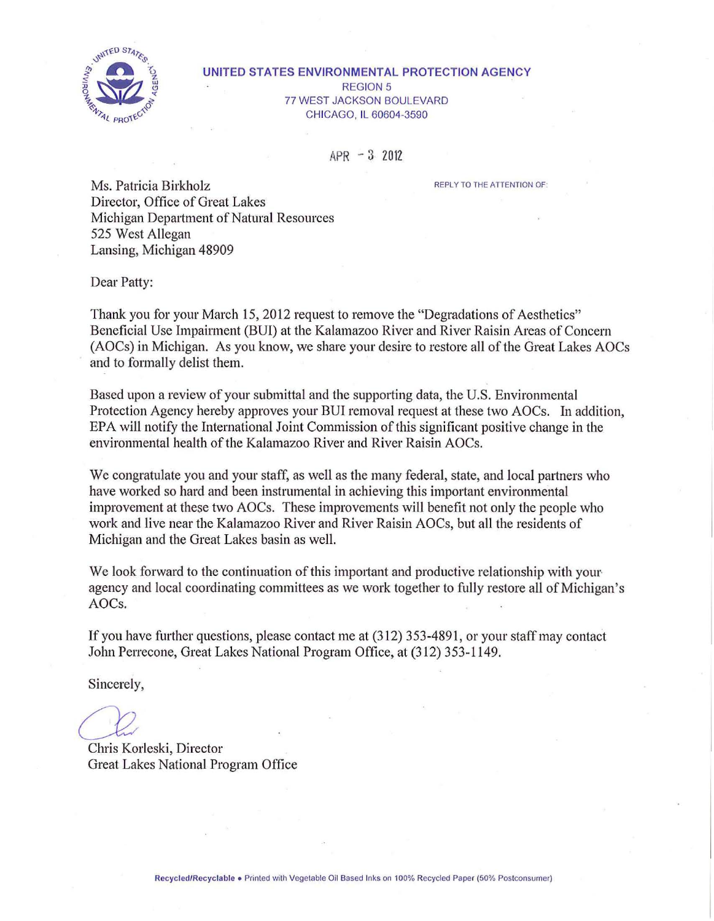

#### **UNITED STATES ENVIRONMENTAL PROTECTION AGENCY**  REGION 5 77 WEST JACKSON BOULEVARD CHICAGO, IL 60604-3590

APR - 3 2012

REPLY TO THE ATTENTION OF:

Ms. Patricia Birkholz Director, Office of Great Lakes Michigan Department of Natural Resources 525 West Allegan Lansing, Michigan 48909

Dear Patty:

Thank you for your March 15, 2012 request to remove the "Degradations of Aesthetics" Beneficial Use Impairment (BUI) at the Kalamazoo River and River Raisin Areas of Concern (AOCs) in Michigan. As you know, we share your desire to restore all of the Great Lakes AOCs and to formally delist them.

Based upon a review of your submittal and the supporting data, the U.S. Environmental Protection Agency hereby approves your BUI removal request at these two AOCs. In addition, EPA will notify the International Joint Commission of this significant positive change in the environmental health of the Kalamazoo River and River Raisin AOCs.

We congratulate you and your staff, as well as the many federal, state, and local partners who have worked so hard and been instrumental in achieving this important environmental improvement at these two AOCs. These improvements will benefit not only the people who work and live near the Kalamazoo River and River Raisin AOCs, but all the residents of Michigan and the Great Lakes basin as well.

We look forward to the continuation of this important and productive relationship with your agency and local coordinating committees as we work together to fully restore all of Michigan's AOCs.

If you have further questions, please contact me at (312) 353-4891 , or your staff may contact Jolm Perrecone, Great Lakes National Program Office, at (312) 353-1149.

Sincerely,

*Cl2*  Chris Korleski, Director

Great Lakes National Program Office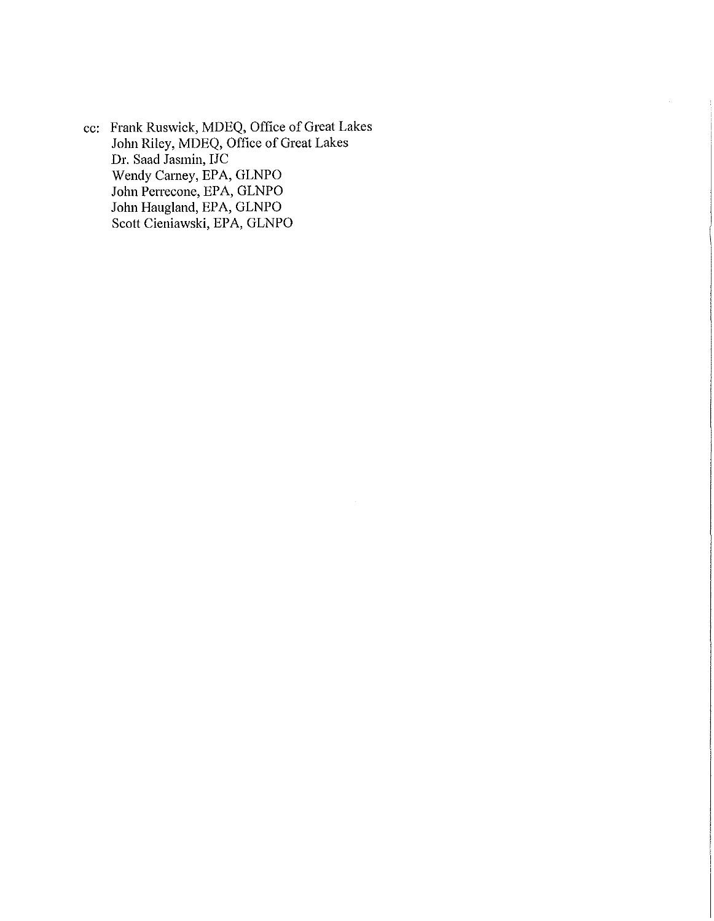cc: Frank Ruswick, MDEQ, Office of Great Lakes John Riley, MDEQ, Office of Great Lakes Dr. Saad Jasmin, IJC Wendy Carney, EPA, GLNPO John Perrecone, EPA, GLNPO John Haugland, EPA, GLNPO Scott Cieniawski, EPA, GLNPO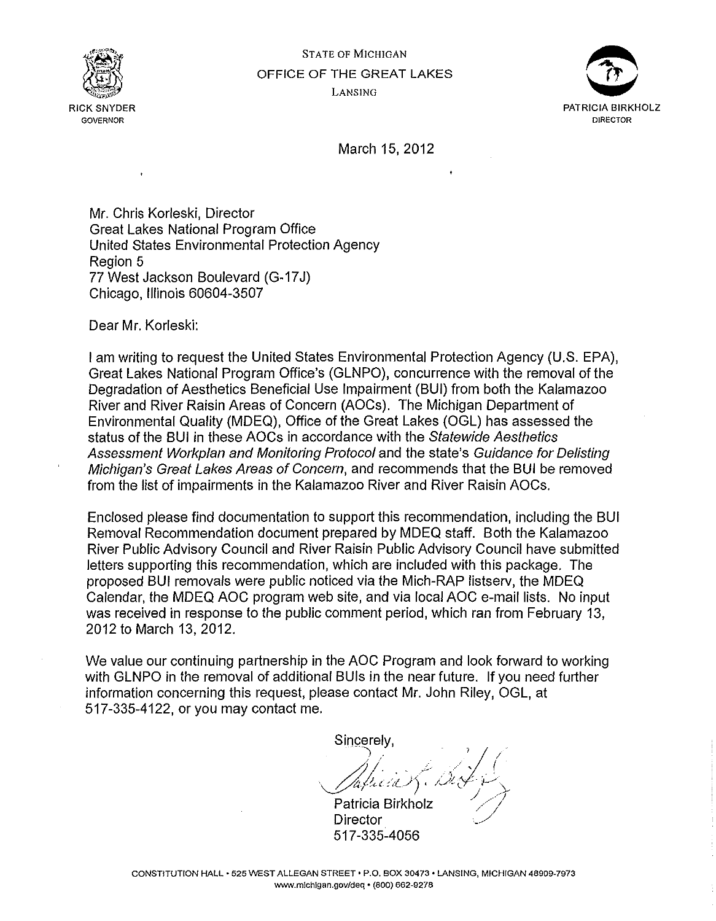





March 15, 2012

Mr. Chris Korleski, Director Great Lakes National Program Office United States Environmental Protection Agency Region 5 77 West Jackson Boulevard (G-17J) Chicago, Illinois 60604-3507

Dear Mr. Korleski:

ï

I am writing to request the United States Environmental Protection Agency (U.S. EPA), Great Lakes National Program Office's (GLNPO), concurrence with the removal of the Degradation of Aesthetics Beneficial Use Impairment (BUI) from both the Kalamazoo River and River Raisin Areas of Concern (AOCs). The Michigan Department of Environmental Quality (MDEQ), Office of the Great Lakes (OGL) has assessed the status of the BUI in these AOCs in accordance with the Statewide Aesthetics Assessment Workp/an and Monitoring Protocol and the state's Guidance for Delisting Michigan's Great Lakes Areas of Concern, and recommends that the BUI be removed from the list of impairments in the Kalamazoo River and River Raisin AOCs.

Enclosed please find documentation to support this recommendation, including the BUI Removal Recommendation document prepared by MDEQ staff. Both the Kalamazoo River Public Advisory Council and River Raisin Public Advisory Council have submitted letters supporting this recommendation, which are included with this package. The proposed BUI removals were public noticed via the Mich-RAP listserv, the MDEQ Calendar, the MDEQ AOC program web site, and via local AOC e-mail lists. No input was received in response to the public comment period, which ran from February 13, 2012 to March 13, 2012.

We value our continuing partnership in the AOC Program and look forward to working with GLNPO in the removal of additional BUis in the near future. If you need further information concerning this request, please contact Mr. John Riley, OGL, at 517-335-4122, or you may contact me.

Sincerely.

Patricia Birkholz Director 517-335-4056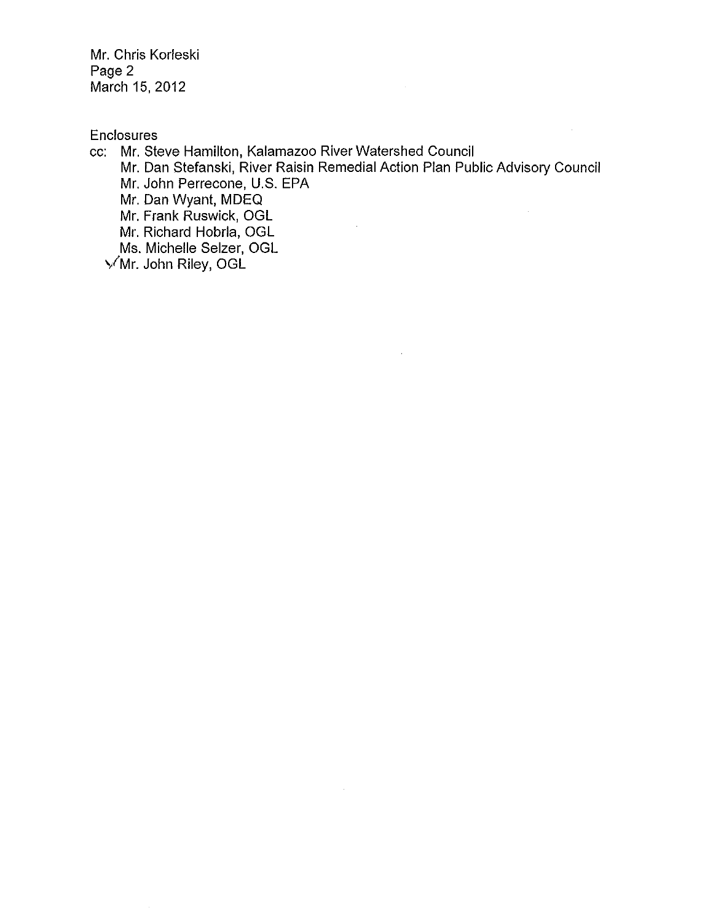Mr. Chris Korleski Page 2 March 15,2012

**Enclosures** 

cc: Mr. Steve Hamilton, Kalamazoo River Watershed Council

Mr. Dan Stefanski, River Raisin Remedial Action Plan Public Advisory Council Mr. John Perrecone, U.S. EPA

 $\hat{\mathcal{A}}$ 

Mr. Dan Wyant, MDEQ

Mr. Frank Ruswick, OGL

Mr. Richard Hobrla, OGL

Ms. Michelle Seizer, OGL

~!Mr. John Riley, OGL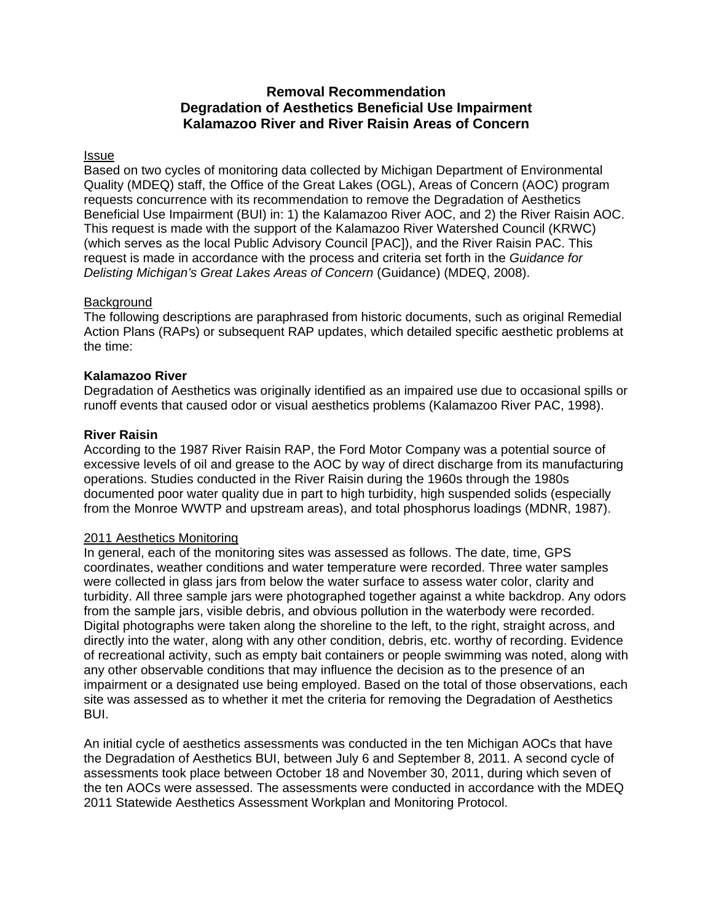# **Removal Recommendation Degradation of Aesthetics Beneficial Use Impairment Kalamazoo River and River Raisin Areas of Concern**

## **Issue**

Based on two cycles of monitoring data collected by Michigan Department of Environmental Quality (MDEQ) staff, the Office of the Great Lakes (OGL), Areas of Concern (AOC) program requests concurrence with its recommendation to remove the Degradation of Aesthetics Beneficial Use Impairment (BUI) in: 1) the Kalamazoo River AOC, and 2) the River Raisin AOC. This request is made with the support of the Kalamazoo River Watershed Council (KRWC) (which serves as the local Public Advisory Council [PAC]), and the River Raisin PAC. This request is made in accordance with the process and criteria set forth in the *Guidance for Delisting Michigan's Great Lakes Areas of Concern* (Guidance) (MDEQ, 2008).

## **Background**

The following descriptions are paraphrased from historic documents, such as original Remedial Action Plans (RAPs) or subsequent RAP updates, which detailed specific aesthetic problems at the time:

## **Kalamazoo River**

Degradation of Aesthetics was originally identified as an impaired use due to occasional spills or runoff events that caused odor or visual aesthetics problems (Kalamazoo River PAC, 1998).

## **River Raisin**

According to the 1987 River Raisin RAP, the Ford Motor Company was a potential source of excessive levels of oil and grease to the AOC by way of direct discharge from its manufacturing operations. Studies conducted in the River Raisin during the 1960s through the 1980s documented poor water quality due in part to high turbidity, high suspended solids (especially from the Monroe WWTP and upstream areas), and total phosphorus loadings (MDNR, 1987).

## 2011 Aesthetics Monitoring

In general, each of the monitoring sites was assessed as follows. The date, time, GPS coordinates, weather conditions and water temperature were recorded. Three water samples were collected in glass jars from below the water surface to assess water color, clarity and turbidity. All three sample jars were photographed together against a white backdrop. Any odors from the sample jars, visible debris, and obvious pollution in the waterbody were recorded. Digital photographs were taken along the shoreline to the left, to the right, straight across, and directly into the water, along with any other condition, debris, etc. worthy of recording. Evidence of recreational activity, such as empty bait containers or people swimming was noted, along with any other observable conditions that may influence the decision as to the presence of an impairment or a designated use being employed. Based on the total of those observations, each site was assessed as to whether it met the criteria for removing the Degradation of Aesthetics BUI.

An initial cycle of aesthetics assessments was conducted in the ten Michigan AOCs that have the Degradation of Aesthetics BUI, between July 6 and September 8, 2011. A second cycle of assessments took place between October 18 and November 30, 2011, during which seven of the ten AOCs were assessed. The assessments were conducted in accordance with the MDEQ 2011 Statewide Aesthetics Assessment Workplan and Monitoring Protocol.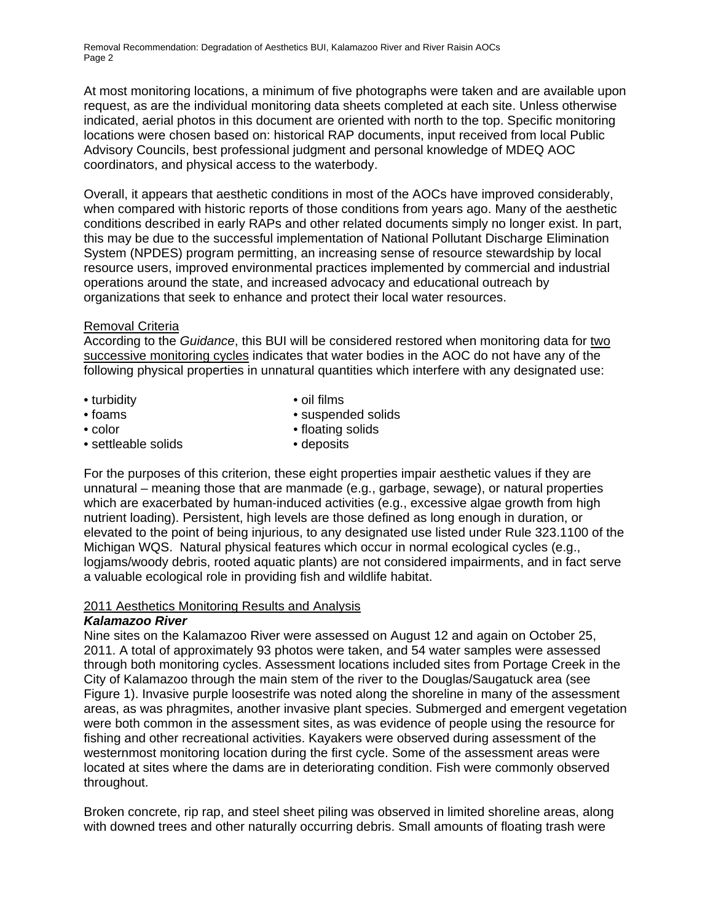At most monitoring locations, a minimum of five photographs were taken and are available upon request, as are the individual monitoring data sheets completed at each site. Unless otherwise indicated, aerial photos in this document are oriented with north to the top. Specific monitoring locations were chosen based on: historical RAP documents, input received from local Public Advisory Councils, best professional judgment and personal knowledge of MDEQ AOC coordinators, and physical access to the waterbody.

Overall, it appears that aesthetic conditions in most of the AOCs have improved considerably, when compared with historic reports of those conditions from years ago. Many of the aesthetic conditions described in early RAPs and other related documents simply no longer exist. In part, this may be due to the successful implementation of National Pollutant Discharge Elimination System (NPDES) program permitting, an increasing sense of resource stewardship by local resource users, improved environmental practices implemented by commercial and industrial operations around the state, and increased advocacy and educational outreach by organizations that seek to enhance and protect their local water resources.

# Removal Criteria

According to the *Guidance*, this BUI will be considered restored when monitoring data for two successive monitoring cycles indicates that water bodies in the AOC do not have any of the following physical properties in unnatural quantities which interfere with any designated use:

- turbidity oil films
- foams suspended solids • color • color • floating solids
	-
- settleable solids deposits

For the purposes of this criterion, these eight properties impair aesthetic values if they are unnatural – meaning those that are manmade (e.g., garbage, sewage), or natural properties which are exacerbated by human-induced activities (e.g., excessive algae growth from high nutrient loading). Persistent, high levels are those defined as long enough in duration, or elevated to the point of being injurious, to any designated use listed under Rule 323.1100 of the Michigan WQS. Natural physical features which occur in normal ecological cycles (e.g., logjams/woody debris, rooted aquatic plants) are not considered impairments, and in fact serve a valuable ecological role in providing fish and wildlife habitat.

## 2011 Aesthetics Monitoring Results and Analysis

# *Kalamazoo River*

Nine sites on the Kalamazoo River were assessed on August 12 and again on October 25, 2011. A total of approximately 93 photos were taken, and 54 water samples were assessed through both monitoring cycles. Assessment locations included sites from Portage Creek in the City of Kalamazoo through the main stem of the river to the Douglas/Saugatuck area (see Figure 1). Invasive purple loosestrife was noted along the shoreline in many of the assessment areas, as was phragmites, another invasive plant species. Submerged and emergent vegetation were both common in the assessment sites, as was evidence of people using the resource for fishing and other recreational activities. Kayakers were observed during assessment of the westernmost monitoring location during the first cycle. Some of the assessment areas were located at sites where the dams are in deteriorating condition. Fish were commonly observed throughout.

Broken concrete, rip rap, and steel sheet piling was observed in limited shoreline areas, along with downed trees and other naturally occurring debris. Small amounts of floating trash were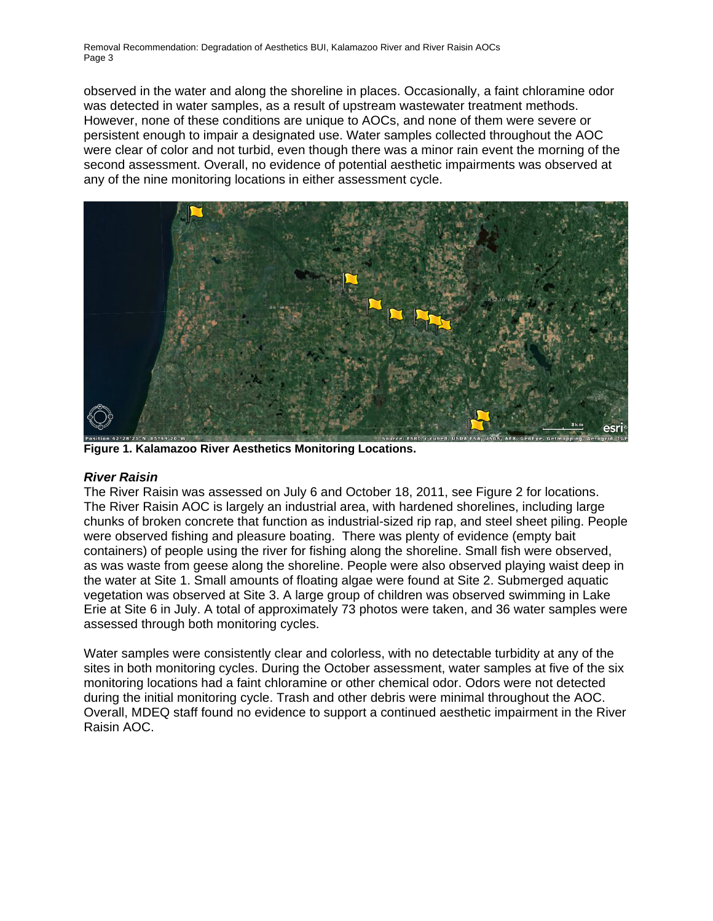observed in the water and along the shoreline in places. Occasionally, a faint chloramine odor was detected in water samples, as a result of upstream wastewater treatment methods. However, none of these conditions are unique to AOCs, and none of them were severe or persistent enough to impair a designated use. Water samples collected throughout the AOC were clear of color and not turbid, even though there was a minor rain event the morning of the second assessment. Overall, no evidence of potential aesthetic impairments was observed at any of the nine monitoring locations in either assessment cycle.



**Figure 1. Kalamazoo River Aesthetics Monitoring Locations.** 

# *River Raisin*

The River Raisin was assessed on July 6 and October 18, 2011, see Figure 2 for locations. The River Raisin AOC is largely an industrial area, with hardened shorelines, including large chunks of broken concrete that function as industrial-sized rip rap, and steel sheet piling. People were observed fishing and pleasure boating. There was plenty of evidence (empty bait containers) of people using the river for fishing along the shoreline. Small fish were observed, as was waste from geese along the shoreline. People were also observed playing waist deep in the water at Site 1. Small amounts of floating algae were found at Site 2. Submerged aquatic vegetation was observed at Site 3. A large group of children was observed swimming in Lake Erie at Site 6 in July. A total of approximately 73 photos were taken, and 36 water samples were assessed through both monitoring cycles.

Water samples were consistently clear and colorless, with no detectable turbidity at any of the sites in both monitoring cycles. During the October assessment, water samples at five of the six monitoring locations had a faint chloramine or other chemical odor. Odors were not detected during the initial monitoring cycle. Trash and other debris were minimal throughout the AOC. Overall, MDEQ staff found no evidence to support a continued aesthetic impairment in the River Raisin AOC.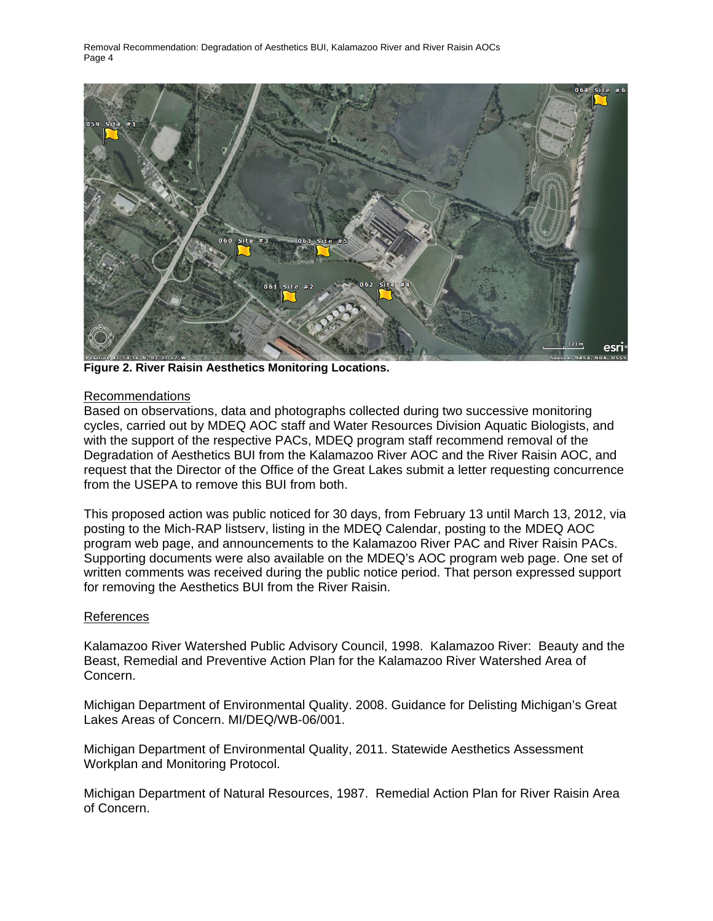

**Figure 2. River Raisin Aesthetics Monitoring Locations.** 

## Recommendations

Based on observations, data and photographs collected during two successive monitoring cycles, carried out by MDEQ AOC staff and Water Resources Division Aquatic Biologists, and with the support of the respective PACs, MDEQ program staff recommend removal of the Degradation of Aesthetics BUI from the Kalamazoo River AOC and the River Raisin AOC, and request that the Director of the Office of the Great Lakes submit a letter requesting concurrence from the USEPA to remove this BUI from both.

This proposed action was public noticed for 30 days, from February 13 until March 13, 2012, via posting to the Mich-RAP listserv, listing in the MDEQ Calendar, posting to the MDEQ AOC program web page, and announcements to the Kalamazoo River PAC and River Raisin PACs. Supporting documents were also available on the MDEQ's AOC program web page. One set of written comments was received during the public notice period. That person expressed support for removing the Aesthetics BUI from the River Raisin.

## References

Kalamazoo River Watershed Public Advisory Council, 1998. Kalamazoo River: Beauty and the Beast, Remedial and Preventive Action Plan for the Kalamazoo River Watershed Area of Concern.

Michigan Department of Environmental Quality. 2008. Guidance for Delisting Michigan's Great Lakes Areas of Concern. MI/DEQ/WB-06/001.

Michigan Department of Environmental Quality, 2011. Statewide Aesthetics Assessment Workplan and Monitoring Protocol.

Michigan Department of Natural Resources, 1987. Remedial Action Plan for River Raisin Area of Concern.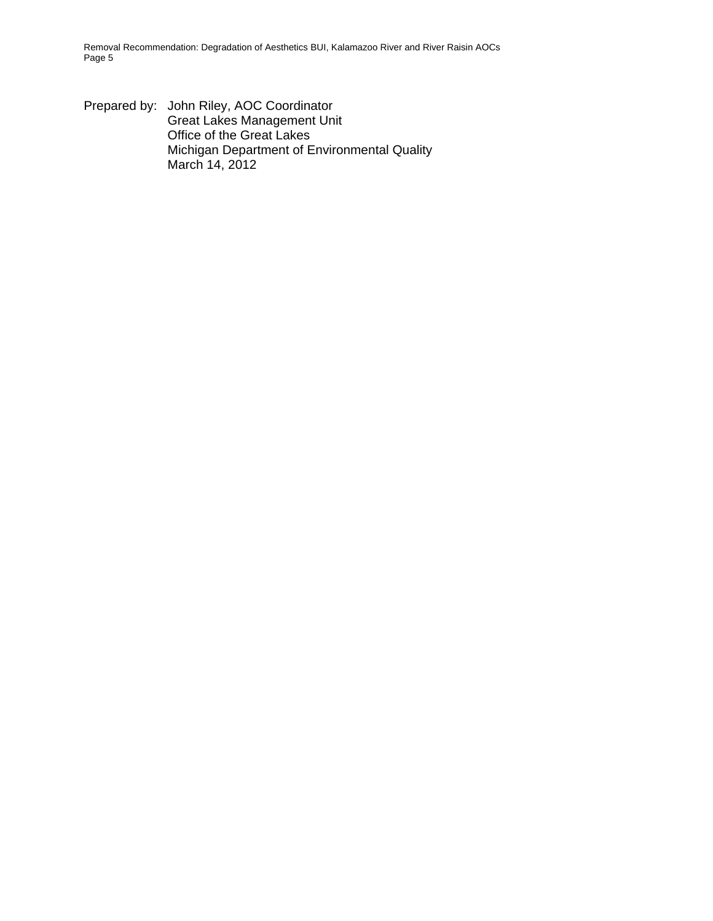Prepared by: John Riley, AOC Coordinator Great Lakes Management Unit Office of the Great Lakes Michigan Department of Environmental Quality March 14, 2012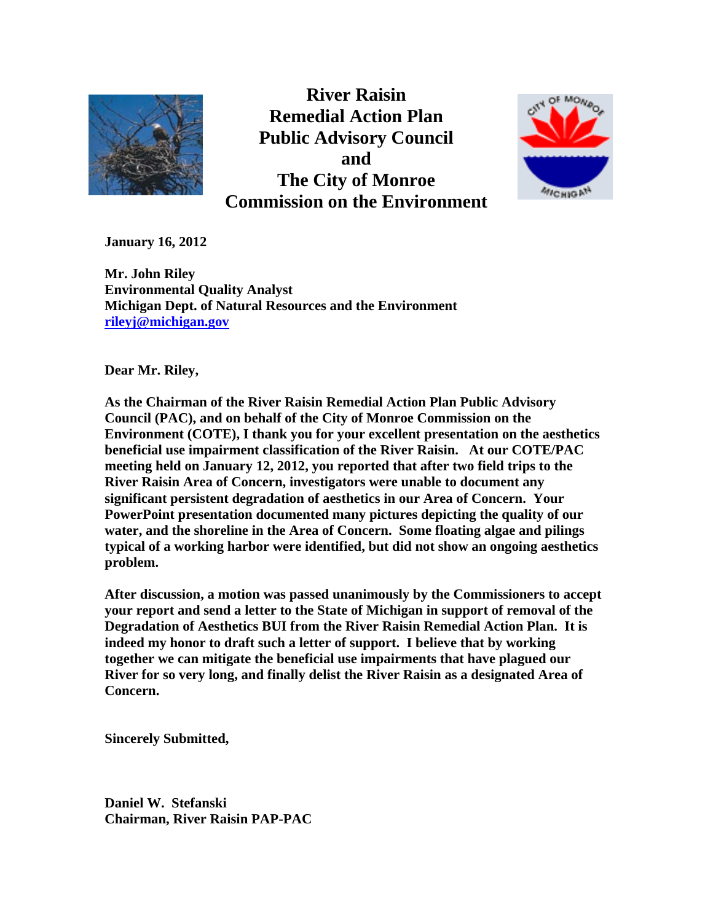

**River Raisin Remedial Action Plan Public Advisory Council and The City of Monroe Commission on the Environment** 



**January 16, 2012** 

**Mr. John Riley Environmental Quality Analyst Michigan Dept. of Natural Resources and the Environment rileyj@michigan.gov**

**Dear Mr. Riley,** 

**As the Chairman of the River Raisin Remedial Action Plan Public Advisory Council (PAC), and on behalf of the City of Monroe Commission on the Environment (COTE), I thank you for your excellent presentation on the aesthetics beneficial use impairment classification of the River Raisin. At our COTE/PAC meeting held on January 12, 2012, you reported that after two field trips to the River Raisin Area of Concern, investigators were unable to document any significant persistent degradation of aesthetics in our Area of Concern. Your PowerPoint presentation documented many pictures depicting the quality of our water, and the shoreline in the Area of Concern. Some floating algae and pilings typical of a working harbor were identified, but did not show an ongoing aesthetics problem.** 

**After discussion, a motion was passed unanimously by the Commissioners to accept your report and send a letter to the State of Michigan in support of removal of the Degradation of Aesthetics BUI from the River Raisin Remedial Action Plan. It is indeed my honor to draft such a letter of support. I believe that by working together we can mitigate the beneficial use impairments that have plagued our River for so very long, and finally delist the River Raisin as a designated Area of Concern.** 

**Sincerely Submitted,** 

**Daniel W. Stefanski Chairman, River Raisin PAP-PAC**